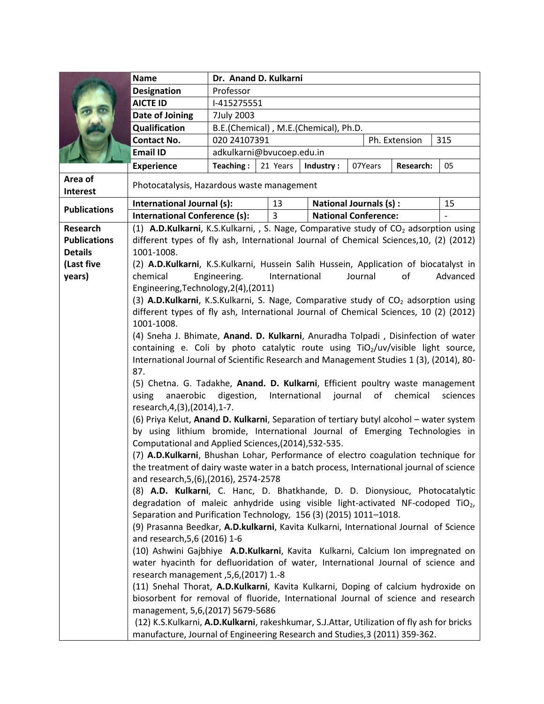|                                                                        | <b>Name</b>                                                                                                                                                                                                                                                                                                                                                                                                                                                                                                                                                                                                                                                                                                                                                                                                                                                                                                                                                                                                                                                                                                                                                                                                                                                                                                                                                                                                                                                                                                                                                  | Dr. Anand D. Kulkarni                 |          |           |                               |           |    |  |
|------------------------------------------------------------------------|--------------------------------------------------------------------------------------------------------------------------------------------------------------------------------------------------------------------------------------------------------------------------------------------------------------------------------------------------------------------------------------------------------------------------------------------------------------------------------------------------------------------------------------------------------------------------------------------------------------------------------------------------------------------------------------------------------------------------------------------------------------------------------------------------------------------------------------------------------------------------------------------------------------------------------------------------------------------------------------------------------------------------------------------------------------------------------------------------------------------------------------------------------------------------------------------------------------------------------------------------------------------------------------------------------------------------------------------------------------------------------------------------------------------------------------------------------------------------------------------------------------------------------------------------------------|---------------------------------------|----------|-----------|-------------------------------|-----------|----|--|
|                                                                        | <b>Designation</b>                                                                                                                                                                                                                                                                                                                                                                                                                                                                                                                                                                                                                                                                                                                                                                                                                                                                                                                                                                                                                                                                                                                                                                                                                                                                                                                                                                                                                                                                                                                                           | Professor                             |          |           |                               |           |    |  |
|                                                                        | <b>AICTE ID</b>                                                                                                                                                                                                                                                                                                                                                                                                                                                                                                                                                                                                                                                                                                                                                                                                                                                                                                                                                                                                                                                                                                                                                                                                                                                                                                                                                                                                                                                                                                                                              | I-415275551                           |          |           |                               |           |    |  |
|                                                                        | Date of Joining                                                                                                                                                                                                                                                                                                                                                                                                                                                                                                                                                                                                                                                                                                                                                                                                                                                                                                                                                                                                                                                                                                                                                                                                                                                                                                                                                                                                                                                                                                                                              | 7July 2003                            |          |           |                               |           |    |  |
|                                                                        | Qualification                                                                                                                                                                                                                                                                                                                                                                                                                                                                                                                                                                                                                                                                                                                                                                                                                                                                                                                                                                                                                                                                                                                                                                                                                                                                                                                                                                                                                                                                                                                                                | B.E.(Chemical), M.E.(Chemical), Ph.D. |          |           |                               |           |    |  |
|                                                                        | <b>Contact No.</b>                                                                                                                                                                                                                                                                                                                                                                                                                                                                                                                                                                                                                                                                                                                                                                                                                                                                                                                                                                                                                                                                                                                                                                                                                                                                                                                                                                                                                                                                                                                                           | 020 24107391<br>315<br>Ph. Extension  |          |           |                               |           |    |  |
|                                                                        | <b>Email ID</b><br>adkulkarni@bvucoep.edu.in                                                                                                                                                                                                                                                                                                                                                                                                                                                                                                                                                                                                                                                                                                                                                                                                                                                                                                                                                                                                                                                                                                                                                                                                                                                                                                                                                                                                                                                                                                                 |                                       |          |           |                               |           |    |  |
|                                                                        | <b>Experience</b>                                                                                                                                                                                                                                                                                                                                                                                                                                                                                                                                                                                                                                                                                                                                                                                                                                                                                                                                                                                                                                                                                                                                                                                                                                                                                                                                                                                                                                                                                                                                            | Teaching:                             | 21 Years | Industry: | 07Years                       | Research: | 05 |  |
| Area of<br><b>Interest</b>                                             | Photocatalysis, Hazardous waste management                                                                                                                                                                                                                                                                                                                                                                                                                                                                                                                                                                                                                                                                                                                                                                                                                                                                                                                                                                                                                                                                                                                                                                                                                                                                                                                                                                                                                                                                                                                   |                                       |          |           |                               |           |    |  |
| <b>Publications</b>                                                    | International Journal (s):                                                                                                                                                                                                                                                                                                                                                                                                                                                                                                                                                                                                                                                                                                                                                                                                                                                                                                                                                                                                                                                                                                                                                                                                                                                                                                                                                                                                                                                                                                                                   |                                       | 13       |           | <b>National Journals (s):</b> |           | 15 |  |
|                                                                        | <b>International Conference (s):</b>                                                                                                                                                                                                                                                                                                                                                                                                                                                                                                                                                                                                                                                                                                                                                                                                                                                                                                                                                                                                                                                                                                                                                                                                                                                                                                                                                                                                                                                                                                                         |                                       | 3        |           | <b>National Conference:</b>   |           |    |  |
| <b>Research</b><br><b>Publications</b><br><b>Details</b><br>(Last five | (1) A.D.Kulkarni, K.S.Kulkarni, , S. Nage, Comparative study of CO <sub>2</sub> adsorption using<br>different types of fly ash, International Journal of Chemical Sciences, 10, (2) (2012)<br>1001-1008.<br>(2) A.D.Kulkarni, K.S.Kulkarni, Hussein Salih Hussein, Application of biocatalyst in                                                                                                                                                                                                                                                                                                                                                                                                                                                                                                                                                                                                                                                                                                                                                                                                                                                                                                                                                                                                                                                                                                                                                                                                                                                             |                                       |          |           |                               |           |    |  |
| years)                                                                 | chemical<br>Engineering.<br>International<br>Journal<br>οf<br>Advanced                                                                                                                                                                                                                                                                                                                                                                                                                                                                                                                                                                                                                                                                                                                                                                                                                                                                                                                                                                                                                                                                                                                                                                                                                                                                                                                                                                                                                                                                                       |                                       |          |           |                               |           |    |  |
|                                                                        | Engineering, Technology, 2(4), (2011)<br>(3) A.D.Kulkarni, K.S.Kulkarni, S. Nage, Comparative study of CO <sub>2</sub> adsorption using<br>different types of fly ash, International Journal of Chemical Sciences, 10 (2) (2012)<br>1001-1008.<br>(4) Sneha J. Bhimate, Anand. D. Kulkarni, Anuradha Tolpadi, Disinfection of water<br>containing e. Coli by photo catalytic route using TiO <sub>2</sub> /uv/visible light source,<br>International Journal of Scientific Research and Management Studies 1 (3), (2014), 80-<br>87.<br>(5) Chetna. G. Tadakhe, Anand. D. Kulkarni, Efficient poultry waste management<br>digestion,<br>International journal<br>using<br>anaerobic<br>of<br>chemical<br>sciences<br>research, 4, (3), (2014), 1-7.<br>(6) Priya Kelut, Anand D. Kulkarni, Separation of tertiary butyl alcohol - water system<br>by using lithium bromide, International Journal of Emerging Technologies in<br>Computational and Applied Sciences, (2014), 532-535.<br>(7) A.D.Kulkarni, Bhushan Lohar, Performance of electro coagulation technique for<br>the treatment of dairy waste water in a batch process, International journal of science<br>and research, 5, (6), (2016), 2574-2578<br>(8) A.D. Kulkarni, C. Hanc, D. Bhatkhande, D. D. Dionysiouc, Photocatalytic<br>degradation of maleic anhydride using visible light-activated NF-codoped TiO <sub>2</sub> ,<br>Separation and Purification Technology, 156 (3) (2015) 1011-1018.<br>(9) Prasanna Beedkar, A.D.kulkarni, Kavita Kulkarni, International Journal of Science |                                       |          |           |                               |           |    |  |
|                                                                        | and research, 5, 6 (2016) 1-6<br>(10) Ashwini Gajbhiye A.D.Kulkarni, Kavita Kulkarni, Calcium Ion impregnated on<br>water hyacinth for defluoridation of water, International Journal of science and<br>research management, 5,6, (2017) 1.-8<br>(11) Snehal Thorat, A.D.Kulkarni, Kavita Kulkarni, Doping of calcium hydroxide on<br>biosorbent for removal of fluoride, International Journal of science and research<br>management, 5,6, (2017) 5679-5686<br>(12) K.S.Kulkarni, A.D.Kulkarni, rakeshkumar, S.J.Attar, Utilization of fly ash for bricks<br>manufacture, Journal of Engineering Research and Studies, 3 (2011) 359-362.                                                                                                                                                                                                                                                                                                                                                                                                                                                                                                                                                                                                                                                                                                                                                                                                                                                                                                                    |                                       |          |           |                               |           |    |  |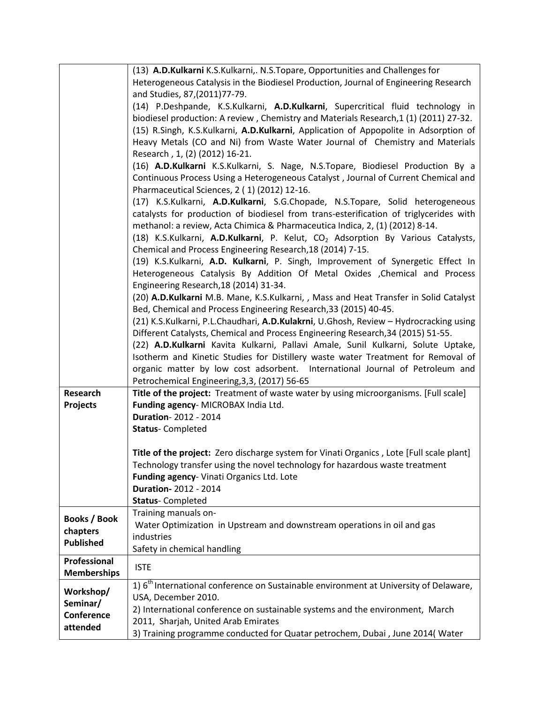|                     | (13) A.D.Kulkarni K.S.Kulkarni,. N.S.Topare, Opportunities and Challenges for                     |  |  |  |  |  |
|---------------------|---------------------------------------------------------------------------------------------------|--|--|--|--|--|
|                     | Heterogeneous Catalysis in the Biodiesel Production, Journal of Engineering Research              |  |  |  |  |  |
|                     | and Studies, 87, (2011) 77-79.                                                                    |  |  |  |  |  |
|                     | (14) P.Deshpande, K.S.Kulkarni, A.D.Kulkarni, Supercritical fluid technology in                   |  |  |  |  |  |
|                     | biodiesel production: A review, Chemistry and Materials Research, 1(1) (2011) 27-32.              |  |  |  |  |  |
|                     | (15) R.Singh, K.S.Kulkarni, A.D.Kulkarni, Application of Appopolite in Adsorption of              |  |  |  |  |  |
|                     |                                                                                                   |  |  |  |  |  |
|                     | Heavy Metals (CO and Ni) from Waste Water Journal of Chemistry and Materials                      |  |  |  |  |  |
|                     | Research, 1, (2) (2012) 16-21.                                                                    |  |  |  |  |  |
|                     | (16) A.D.Kulkarni K.S.Kulkarni, S. Nage, N.S.Topare, Biodiesel Production By a                    |  |  |  |  |  |
|                     | Continuous Process Using a Heterogeneous Catalyst, Journal of Current Chemical and                |  |  |  |  |  |
|                     | Pharmaceutical Sciences, 2 (1) (2012) 12-16.                                                      |  |  |  |  |  |
|                     | (17) K.S.Kulkarni, A.D.Kulkarni, S.G.Chopade, N.S.Topare, Solid heterogeneous                     |  |  |  |  |  |
|                     | catalysts for production of biodiesel from trans-esterification of triglycerides with             |  |  |  |  |  |
|                     | methanol: a review, Acta Chimica & Pharmaceutica Indica, 2, (1) (2012) 8-14.                      |  |  |  |  |  |
|                     | (18) K.S.Kulkarni, A.D.Kulkarni, P. Kelut, CO <sub>2</sub> Adsorption By Various Catalysts,       |  |  |  |  |  |
|                     | Chemical and Process Engineering Research, 18 (2014) 7-15.                                        |  |  |  |  |  |
|                     | (19) K.S.Kulkarni, A.D. Kulkarni, P. Singh, Improvement of Synergetic Effect In                   |  |  |  |  |  |
|                     | Heterogeneous Catalysis By Addition Of Metal Oxides , Chemical and Process                        |  |  |  |  |  |
|                     | Engineering Research, 18 (2014) 31-34.                                                            |  |  |  |  |  |
|                     | (20) A.D.Kulkarni M.B. Mane, K.S.Kulkarni, , Mass and Heat Transfer in Solid Catalyst             |  |  |  |  |  |
|                     | Bed, Chemical and Process Engineering Research, 33 (2015) 40-45.                                  |  |  |  |  |  |
|                     | (21) K.S.Kulkarni, P.L.Chaudhari, A.D.Kulakrni, U.Ghosh, Review - Hydrocracking using             |  |  |  |  |  |
|                     |                                                                                                   |  |  |  |  |  |
|                     | Different Catalysts, Chemical and Process Engineering Research, 34 (2015) 51-55.                  |  |  |  |  |  |
|                     | (22) A.D.Kulkarni Kavita Kulkarni, Pallavi Amale, Sunil Kulkarni, Solute Uptake,                  |  |  |  |  |  |
|                     | Isotherm and Kinetic Studies for Distillery waste water Treatment for Removal of                  |  |  |  |  |  |
|                     | organic matter by low cost adsorbent. International Journal of Petroleum and                      |  |  |  |  |  |
|                     | Petrochemical Engineering, 3, 3, (2017) 56-65                                                     |  |  |  |  |  |
| <b>Research</b>     | Title of the project: Treatment of waste water by using microorganisms. [Full scale]              |  |  |  |  |  |
| <b>Projects</b>     | Funding agency- MICROBAX India Ltd.                                                               |  |  |  |  |  |
|                     | <b>Duration-2012 - 2014</b>                                                                       |  |  |  |  |  |
|                     | <b>Status-Completed</b>                                                                           |  |  |  |  |  |
|                     |                                                                                                   |  |  |  |  |  |
|                     | Title of the project: Zero discharge system for Vinati Organics, Lote [Full scale plant]          |  |  |  |  |  |
|                     | Technology transfer using the novel technology for hazardous waste treatment                      |  |  |  |  |  |
|                     | Funding agency- Vinati Organics Ltd. Lote                                                         |  |  |  |  |  |
|                     | <b>Duration-2012 - 2014</b>                                                                       |  |  |  |  |  |
|                     | <b>Status-Completed</b>                                                                           |  |  |  |  |  |
|                     | Training manuals on-                                                                              |  |  |  |  |  |
| <b>Books / Book</b> | Water Optimization in Upstream and downstream operations in oil and gas                           |  |  |  |  |  |
| chapters            | industries                                                                                        |  |  |  |  |  |
| <b>Published</b>    | Safety in chemical handling                                                                       |  |  |  |  |  |
| Professional        |                                                                                                   |  |  |  |  |  |
| <b>Memberships</b>  | <b>ISTE</b>                                                                                       |  |  |  |  |  |
|                     | 1) 6 <sup>th</sup> International conference on Sustainable environment at University of Delaware, |  |  |  |  |  |
| Workshop/           |                                                                                                   |  |  |  |  |  |
| Seminar/            | USA, December 2010.                                                                               |  |  |  |  |  |
| Conference          | 2) International conference on sustainable systems and the environment, March                     |  |  |  |  |  |
| attended            | 2011, Sharjah, United Arab Emirates                                                               |  |  |  |  |  |
|                     | 3) Training programme conducted for Quatar petrochem, Dubai, June 2014(Water                      |  |  |  |  |  |